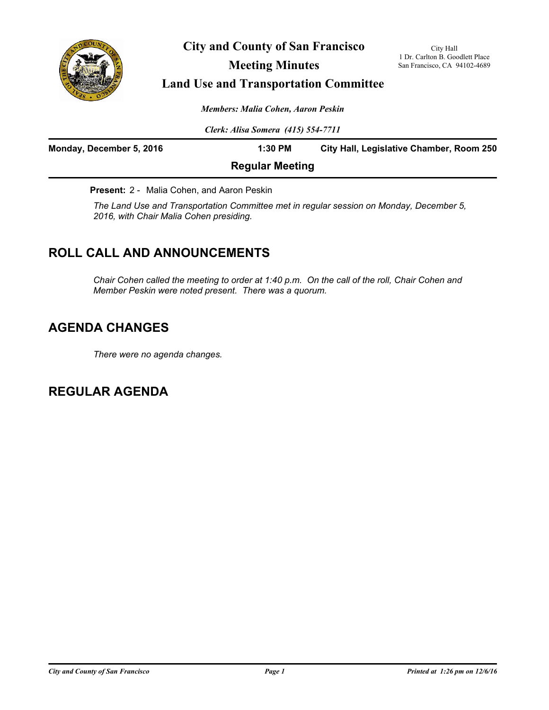

**City and County of San Francisco**

City Hall 1 Dr. Carlton B. Goodlett Place San Francisco, CA 94102-4689

# **Meeting Minutes**

# **Land Use and Transportation Committee**

*Members: Malia Cohen, Aaron Peskin*

*Clerk: Alisa Somera (415) 554-7711*

| Monday, December 5, 2016 | $1:30$ PM              | City Hall, Legislative Chamber, Room 250 |
|--------------------------|------------------------|------------------------------------------|
|                          | <b>Regular Meeting</b> |                                          |

**Present:** 2 - Malia Cohen, and Aaron Peskin

*The Land Use and Transportation Committee met in regular session on Monday, December 5, 2016, with Chair Malia Cohen presiding.*

# **ROLL CALL AND ANNOUNCEMENTS**

*Chair Cohen called the meeting to order at 1:40 p.m. On the call of the roll, Chair Cohen and Member Peskin were noted present. There was a quorum.*

# **AGENDA CHANGES**

*There were no agenda changes.*

**REGULAR AGENDA**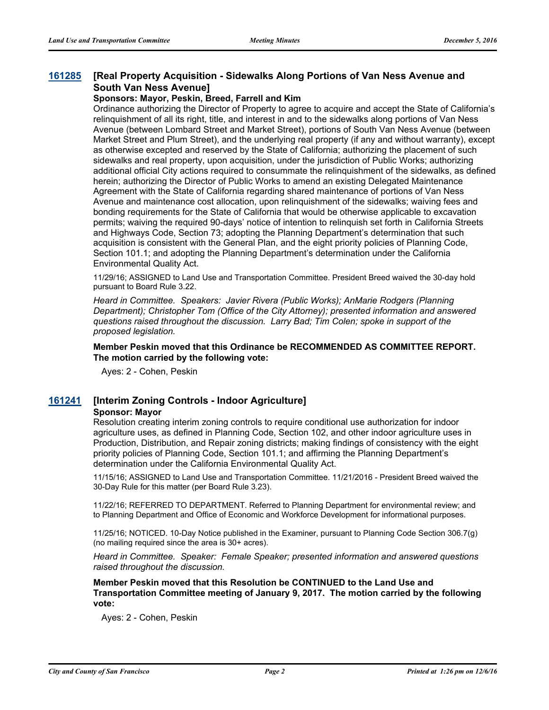#### **[Real Property Acquisition - Sidewalks Along Portions of Van Ness Avenue and South Van Ness Avenue] [161285](http://sfgov.legistar.com/gateway.aspx?m=l&id=31490)**

#### **Sponsors: Mayor, Peskin, Breed, Farrell and Kim**

Ordinance authorizing the Director of Property to agree to acquire and accept the State of California's relinquishment of all its right, title, and interest in and to the sidewalks along portions of Van Ness Avenue (between Lombard Street and Market Street), portions of South Van Ness Avenue (between Market Street and Plum Street), and the underlying real property (if any and without warranty), except as otherwise excepted and reserved by the State of California; authorizing the placement of such sidewalks and real property, upon acquisition, under the jurisdiction of Public Works; authorizing additional official City actions required to consummate the relinquishment of the sidewalks, as defined herein; authorizing the Director of Public Works to amend an existing Delegated Maintenance Agreement with the State of California regarding shared maintenance of portions of Van Ness Avenue and maintenance cost allocation, upon relinquishment of the sidewalks; waiving fees and bonding requirements for the State of California that would be otherwise applicable to excavation permits; waiving the required 90-days' notice of intention to relinquish set forth in California Streets and Highways Code, Section 73; adopting the Planning Department's determination that such acquisition is consistent with the General Plan, and the eight priority policies of Planning Code, Section 101.1; and adopting the Planning Department's determination under the California Environmental Quality Act.

11/29/16; ASSIGNED to Land Use and Transportation Committee. President Breed waived the 30-day hold pursuant to Board Rule 3.22.

*Heard in Committee. Speakers: Javier Rivera (Public Works); AnMarie Rodgers (Planning Department); Christopher Tom (Office of the City Attorney); presented information and answered questions raised throughout the discussion. Larry Bad; Tim Colen; spoke in support of the proposed legislation.*

**Member Peskin moved that this Ordinance be RECOMMENDED AS COMMITTEE REPORT. The motion carried by the following vote:**

Ayes: 2 - Cohen, Peskin

#### **[161241](http://sfgov.legistar.com/gateway.aspx?m=l&id=31446) [Interim Zoning Controls - Indoor Agriculture]**

#### **Sponsor: Mayor**

Resolution creating interim zoning controls to require conditional use authorization for indoor agriculture uses, as defined in Planning Code, Section 102, and other indoor agriculture uses in Production, Distribution, and Repair zoning districts; making findings of consistency with the eight priority policies of Planning Code, Section 101.1; and affirming the Planning Department's determination under the California Environmental Quality Act.

11/15/16; ASSIGNED to Land Use and Transportation Committee. 11/21/2016 - President Breed waived the 30-Day Rule for this matter (per Board Rule 3.23).

11/22/16; REFERRED TO DEPARTMENT. Referred to Planning Department for environmental review; and to Planning Department and Office of Economic and Workforce Development for informational purposes.

11/25/16; NOTICED. 10-Day Notice published in the Examiner, pursuant to Planning Code Section 306.7(g) (no mailing required since the area is 30+ acres).

*Heard in Committee. Speaker: Female Speaker; presented information and answered questions raised throughout the discussion.*

**Member Peskin moved that this Resolution be CONTINUED to the Land Use and Transportation Committee meeting of January 9, 2017. The motion carried by the following vote:**

Ayes: 2 - Cohen, Peskin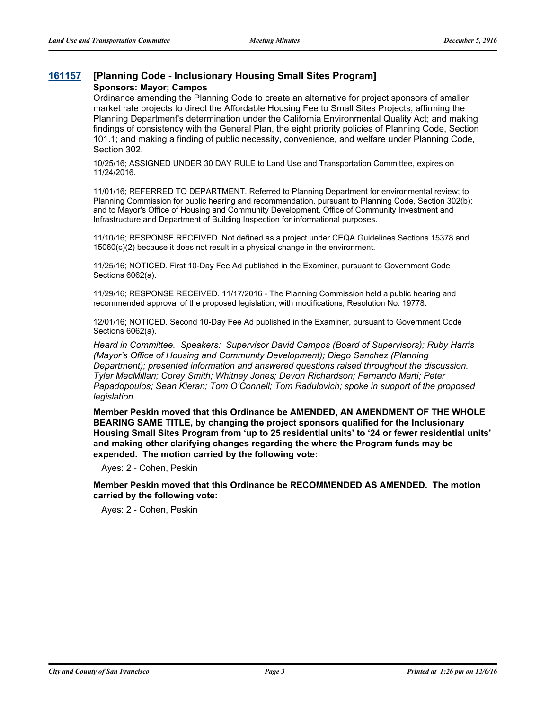### **[161157](http://sfgov.legistar.com/gateway.aspx?m=l&id=31362) [Planning Code - Inclusionary Housing Small Sites Program] Sponsors: Mayor; Campos**

Ordinance amending the Planning Code to create an alternative for project sponsors of smaller market rate projects to direct the Affordable Housing Fee to Small Sites Projects; affirming the Planning Department's determination under the California Environmental Quality Act; and making findings of consistency with the General Plan, the eight priority policies of Planning Code, Section 101.1; and making a finding of public necessity, convenience, and welfare under Planning Code, Section 302.

10/25/16; ASSIGNED UNDER 30 DAY RULE to Land Use and Transportation Committee, expires on 11/24/2016.

11/01/16; REFERRED TO DEPARTMENT. Referred to Planning Department for environmental review; to Planning Commission for public hearing and recommendation, pursuant to Planning Code, Section 302(b); and to Mayor's Office of Housing and Community Development, Office of Community Investment and Infrastructure and Department of Building Inspection for informational purposes.

11/10/16; RESPONSE RECEIVED. Not defined as a project under CEQA Guidelines Sections 15378 and 15060(c)(2) because it does not result in a physical change in the environment.

11/25/16; NOTICED. First 10-Day Fee Ad published in the Examiner, pursuant to Government Code Sections 6062(a).

11/29/16; RESPONSE RECEIVED. 11/17/2016 - The Planning Commission held a public hearing and recommended approval of the proposed legislation, with modifications; Resolution No. 19778.

12/01/16; NOTICED. Second 10-Day Fee Ad published in the Examiner, pursuant to Government Code Sections 6062(a).

*Heard in Committee. Speakers: Supervisor David Campos (Board of Supervisors); Ruby Harris (Mayor's Office of Housing and Community Development); Diego Sanchez (Planning Department); presented information and answered questions raised throughout the discussion. Tyler MacMillan; Corey Smith; Whitney Jones; Devon Richardson; Fernando Marti; Peter Papadopoulos; Sean Kieran; Tom O'Connell; Tom Radulovich; spoke in support of the proposed legislation.*

**Member Peskin moved that this Ordinance be AMENDED, AN AMENDMENT OF THE WHOLE BEARING SAME TITLE, by changing the project sponsors qualified for the Inclusionary Housing Small Sites Program from 'up to 25 residential units' to '24 or fewer residential units' and making other clarifying changes regarding the where the Program funds may be expended. The motion carried by the following vote:**

Ayes: 2 - Cohen, Peskin

**Member Peskin moved that this Ordinance be RECOMMENDED AS AMENDED. The motion carried by the following vote:**

Ayes: 2 - Cohen, Peskin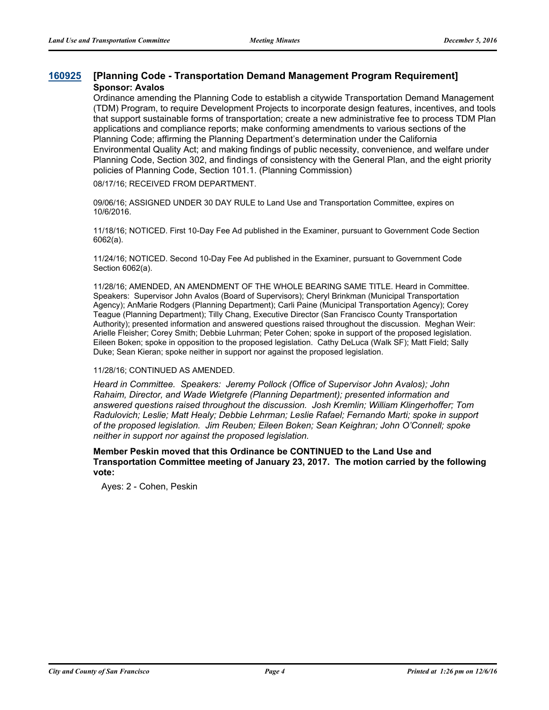### **[160925](http://sfgov.legistar.com/gateway.aspx?m=l&id=31130) [Planning Code - Transportation Demand Management Program Requirement] Sponsor: Avalos**

Ordinance amending the Planning Code to establish a citywide Transportation Demand Management (TDM) Program, to require Development Projects to incorporate design features, incentives, and tools that support sustainable forms of transportation; create a new administrative fee to process TDM Plan applications and compliance reports; make conforming amendments to various sections of the Planning Code; affirming the Planning Department's determination under the California Environmental Quality Act; and making findings of public necessity, convenience, and welfare under Planning Code, Section 302, and findings of consistency with the General Plan, and the eight priority policies of Planning Code, Section 101.1. (Planning Commission)

08/17/16; RECEIVED FROM DEPARTMENT.

09/06/16; ASSIGNED UNDER 30 DAY RULE to Land Use and Transportation Committee, expires on 10/6/2016.

11/18/16; NOTICED. First 10-Day Fee Ad published in the Examiner, pursuant to Government Code Section 6062(a).

11/24/16; NOTICED. Second 10-Day Fee Ad published in the Examiner, pursuant to Government Code Section 6062(a).

11/28/16; AMENDED, AN AMENDMENT OF THE WHOLE BEARING SAME TITLE. Heard in Committee. Speakers: Supervisor John Avalos (Board of Supervisors); Cheryl Brinkman (Municipal Transportation Agency); AnMarie Rodgers (Planning Department); Carli Paine (Municipal Transportation Agency); Corey Teague (Planning Department); Tilly Chang, Executive Director (San Francisco County Transportation Authority); presented information and answered questions raised throughout the discussion. Meghan Weir: Arielle Fleisher; Corey Smith; Debbie Luhrman; Peter Cohen; spoke in support of the proposed legislation. Eileen Boken; spoke in opposition to the proposed legislation. Cathy DeLuca (Walk SF); Matt Field; Sally Duke; Sean Kieran; spoke neither in support nor against the proposed legislation.

11/28/16; CONTINUED AS AMENDED.

*Heard in Committee. Speakers: Jeremy Pollock (Office of Supervisor John Avalos); John Rahaim, Director, and Wade Wietgrefe (Planning Department); presented information and answered questions raised throughout the discussion. Josh Kremlin; William Klingerhoffer; Tom Radulovich; Leslie; Matt Healy; Debbie Lehrman; Leslie Rafael; Fernando Marti; spoke in support of the proposed legislation. Jim Reuben; Eileen Boken; Sean Keighran; John O'Connell; spoke neither in support nor against the proposed legislation.*

**Member Peskin moved that this Ordinance be CONTINUED to the Land Use and Transportation Committee meeting of January 23, 2017. The motion carried by the following vote:**

Ayes: 2 - Cohen, Peskin